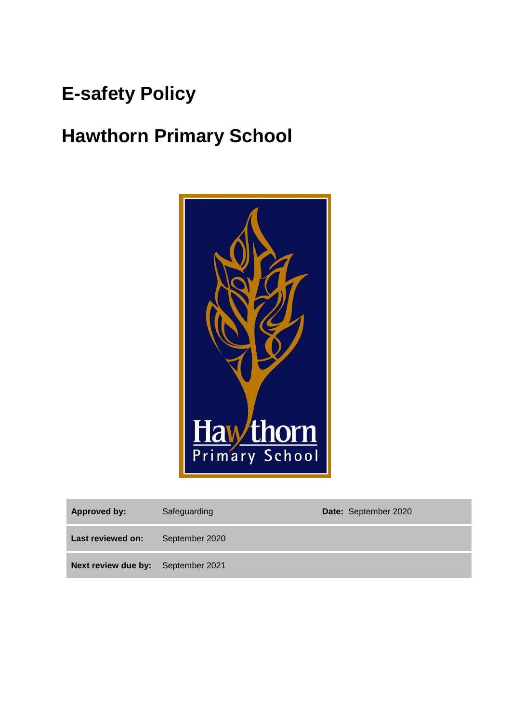# **E-safety Policy**

# **Hawthorn Primary School**



| Approved by:                              | Safeguarding   | Date: September 2020 |
|-------------------------------------------|----------------|----------------------|
| Last reviewed on:                         | September 2020 |                      |
| <b>Next review due by:</b> September 2021 |                |                      |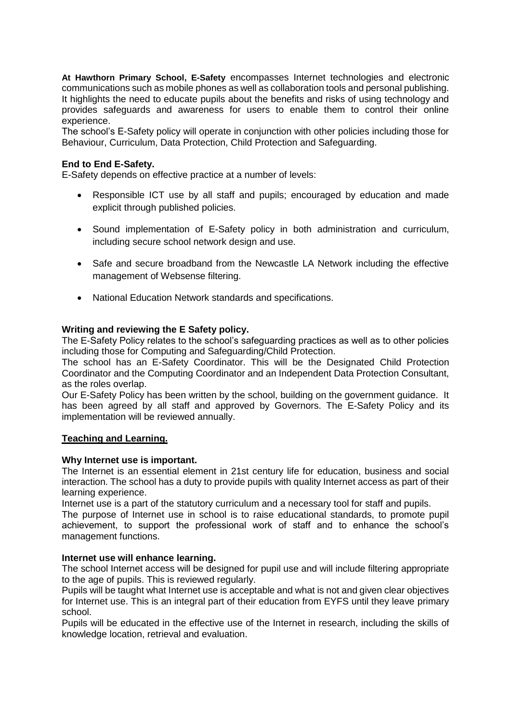**At Hawthorn Primary School, E-Safety** encompasses Internet technologies and electronic communications such as mobile phones as well as collaboration tools and personal publishing. It highlights the need to educate pupils about the benefits and risks of using technology and provides safeguards and awareness for users to enable them to control their online experience.

The school's E-Safety policy will operate in conjunction with other policies including those for Behaviour, Curriculum, Data Protection, Child Protection and Safeguarding.

# **End to End E-Safety.**

E-Safety depends on effective practice at a number of levels:

- Responsible ICT use by all staff and pupils; encouraged by education and made explicit through published policies.
- Sound implementation of E-Safety policy in both administration and curriculum, including secure school network design and use.
- Safe and secure broadband from the Newcastle LA Network including the effective management of Websense filtering.
- National Education Network standards and specifications.

#### **Writing and reviewing the E Safety policy.**

The E-Safety Policy relates to the school's safeguarding practices as well as to other policies including those for Computing and Safeguarding/Child Protection.

The school has an E-Safety Coordinator. This will be the Designated Child Protection Coordinator and the Computing Coordinator and an Independent Data Protection Consultant, as the roles overlap.

Our E-Safety Policy has been written by the school, building on the government guidance. It has been agreed by all staff and approved by Governors. The E-Safety Policy and its implementation will be reviewed annually.

#### **Teaching and Learning.**

#### **Why Internet use is important.**

The Internet is an essential element in 21st century life for education, business and social interaction. The school has a duty to provide pupils with quality Internet access as part of their learning experience.

Internet use is a part of the statutory curriculum and a necessary tool for staff and pupils.

The purpose of Internet use in school is to raise educational standards, to promote pupil achievement, to support the professional work of staff and to enhance the school's management functions.

#### **Internet use will enhance learning.**

The school Internet access will be designed for pupil use and will include filtering appropriate to the age of pupils. This is reviewed regularly.

Pupils will be taught what Internet use is acceptable and what is not and given clear objectives for Internet use. This is an integral part of their education from EYFS until they leave primary school.

Pupils will be educated in the effective use of the Internet in research, including the skills of knowledge location, retrieval and evaluation.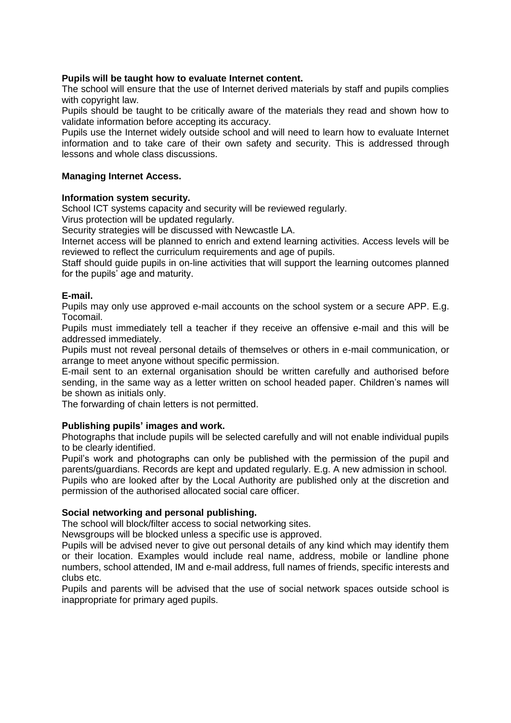## **Pupils will be taught how to evaluate Internet content.**

The school will ensure that the use of Internet derived materials by staff and pupils complies with copyright law.

Pupils should be taught to be critically aware of the materials they read and shown how to validate information before accepting its accuracy.

Pupils use the Internet widely outside school and will need to learn how to evaluate Internet information and to take care of their own safety and security. This is addressed through lessons and whole class discussions.

#### **Managing Internet Access.**

#### **Information system security.**

School ICT systems capacity and security will be reviewed regularly.

Virus protection will be updated regularly.

Security strategies will be discussed with Newcastle LA.

Internet access will be planned to enrich and extend learning activities. Access levels will be reviewed to reflect the curriculum requirements and age of pupils.

Staff should guide pupils in on-line activities that will support the learning outcomes planned for the pupils' age and maturity.

#### **E-mail.**

Pupils may only use approved e-mail accounts on the school system or a secure APP. E.g. Tocomail.

Pupils must immediately tell a teacher if they receive an offensive e-mail and this will be addressed immediately.

Pupils must not reveal personal details of themselves or others in e-mail communication, or arrange to meet anyone without specific permission.

E-mail sent to an external organisation should be written carefully and authorised before sending, in the same way as a letter written on school headed paper. Children's names will be shown as initials only.

The forwarding of chain letters is not permitted.

## **Publishing pupils' images and work.**

Photographs that include pupils will be selected carefully and will not enable individual pupils to be clearly identified.

Pupil's work and photographs can only be published with the permission of the pupil and parents/guardians. Records are kept and updated regularly. E.g. A new admission in school. Pupils who are looked after by the Local Authority are published only at the discretion and

permission of the authorised allocated social care officer.

#### **Social networking and personal publishing.**

The school will block/filter access to social networking sites.

Newsgroups will be blocked unless a specific use is approved.

Pupils will be advised never to give out personal details of any kind which may identify them or their location. Examples would include real name, address, mobile or landline phone numbers, school attended, IM and e-mail address, full names of friends, specific interests and clubs etc.

Pupils and parents will be advised that the use of social network spaces outside school is inappropriate for primary aged pupils.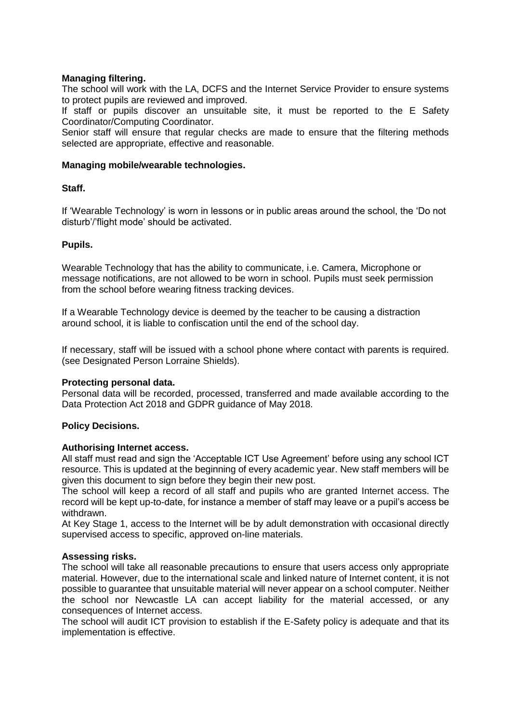## **Managing filtering.**

The school will work with the LA, DCFS and the Internet Service Provider to ensure systems to protect pupils are reviewed and improved.

If staff or pupils discover an unsuitable site, it must be reported to the E Safety Coordinator/Computing Coordinator.

Senior staff will ensure that regular checks are made to ensure that the filtering methods selected are appropriate, effective and reasonable.

#### **Managing mobile/wearable technologies.**

## **Staff.**

If 'Wearable Technology' is worn in lessons or in public areas around the school, the 'Do not disturb'/'flight mode' should be activated.

#### **Pupils.**

Wearable Technology that has the ability to communicate, i.e. Camera, Microphone or message notifications, are not allowed to be worn in school. Pupils must seek permission from the school before wearing fitness tracking devices.

If a Wearable Technology device is deemed by the teacher to be causing a distraction around school, it is liable to confiscation until the end of the school day.

If necessary, staff will be issued with a school phone where contact with parents is required. (see Designated Person Lorraine Shields).

## **Protecting personal data.**

Personal data will be recorded, processed, transferred and made available according to the Data Protection Act 2018 and GDPR guidance of May 2018.

## **Policy Decisions.**

#### **Authorising Internet access.**

All staff must read and sign the 'Acceptable ICT Use Agreement' before using any school ICT resource. This is updated at the beginning of every academic year. New staff members will be given this document to sign before they begin their new post.

The school will keep a record of all staff and pupils who are granted Internet access. The record will be kept up-to-date, for instance a member of staff may leave or a pupil's access be withdrawn.

At Key Stage 1, access to the Internet will be by adult demonstration with occasional directly supervised access to specific, approved on-line materials.

#### **Assessing risks.**

The school will take all reasonable precautions to ensure that users access only appropriate material. However, due to the international scale and linked nature of Internet content, it is not possible to guarantee that unsuitable material will never appear on a school computer. Neither the school nor Newcastle LA can accept liability for the material accessed, or any consequences of Internet access.

The school will audit ICT provision to establish if the E-Safety policy is adequate and that its implementation is effective.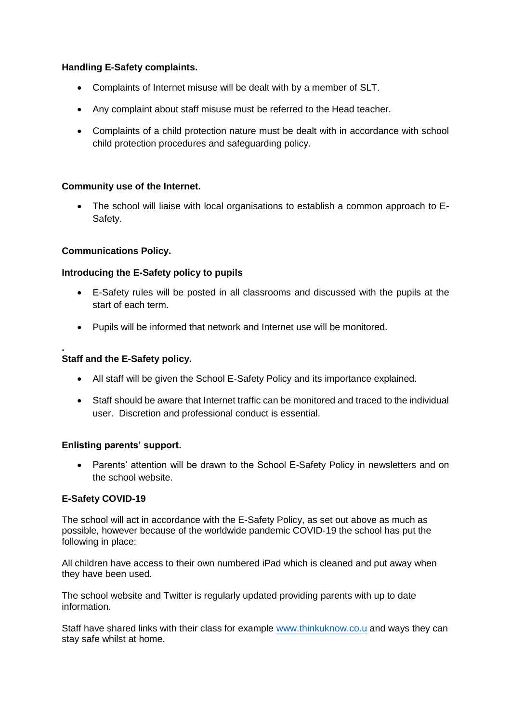# **Handling E-Safety complaints.**

- Complaints of Internet misuse will be dealt with by a member of SLT.
- Any complaint about staff misuse must be referred to the Head teacher.
- Complaints of a child protection nature must be dealt with in accordance with school child protection procedures and safeguarding policy.

# **Community use of the Internet.**

• The school will liaise with local organisations to establish a common approach to E-Safety.

# **Communications Policy.**

# **Introducing the E-Safety policy to pupils**

- E-Safety rules will be posted in all classrooms and discussed with the pupils at the start of each term.
- Pupils will be informed that network and Internet use will be monitored.

#### **. Staff and the E-Safety policy.**

- All staff will be given the School E-Safety Policy and its importance explained.
- Staff should be aware that Internet traffic can be monitored and traced to the individual user. Discretion and professional conduct is essential.

## **Enlisting parents' support.**

• Parents' attention will be drawn to the School E-Safety Policy in newsletters and on the school website.

# **E-Safety COVID-19**

The school will act in accordance with the E-Safety Policy, as set out above as much as possible, however because of the worldwide pandemic COVID-19 the school has put the following in place:

All children have access to their own numbered iPad which is cleaned and put away when they have been used.

The school website and Twitter is regularly updated providing parents with up to date information.

Staff have shared links with their class for example [www.thinkuknow.co.u](http://www.thinkuknow.co.u/) and ways they can stay safe whilst at home.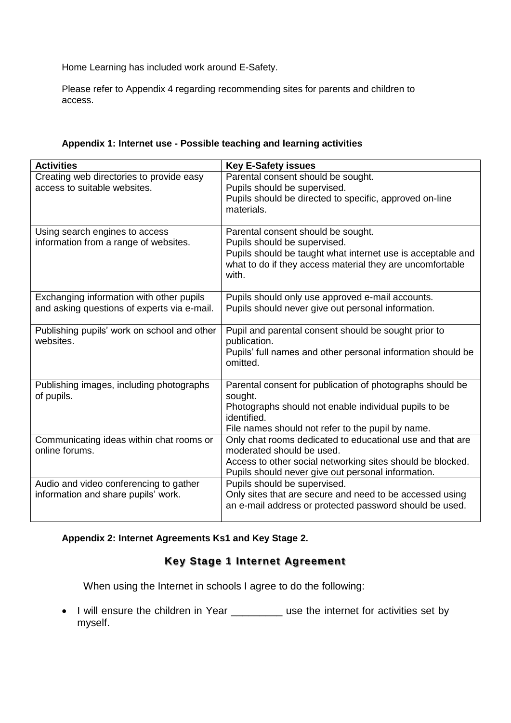Home Learning has included work around E-Safety.

Please refer to Appendix 4 regarding recommending sites for parents and children to access.

| <b>Activities</b>                                                       | <b>Key E-Safety issues</b>                                                                                       |
|-------------------------------------------------------------------------|------------------------------------------------------------------------------------------------------------------|
| Creating web directories to provide easy                                | Parental consent should be sought.                                                                               |
| access to suitable websites.                                            | Pupils should be supervised.                                                                                     |
|                                                                         | Pupils should be directed to specific, approved on-line                                                          |
|                                                                         | materials.                                                                                                       |
|                                                                         |                                                                                                                  |
| Using search engines to access<br>information from a range of websites. | Parental consent should be sought.<br>Pupils should be supervised.                                               |
|                                                                         | Pupils should be taught what internet use is acceptable and                                                      |
|                                                                         | what to do if they access material they are uncomfortable                                                        |
|                                                                         | with.                                                                                                            |
|                                                                         |                                                                                                                  |
| Exchanging information with other pupils                                | Pupils should only use approved e-mail accounts.                                                                 |
| and asking questions of experts via e-mail.                             | Pupils should never give out personal information.                                                               |
|                                                                         |                                                                                                                  |
| Publishing pupils' work on school and other                             | Pupil and parental consent should be sought prior to                                                             |
| websites.                                                               | publication.                                                                                                     |
|                                                                         | Pupils' full names and other personal information should be<br>omitted.                                          |
|                                                                         |                                                                                                                  |
| Publishing images, including photographs                                | Parental consent for publication of photographs should be                                                        |
| of pupils.                                                              | sought.                                                                                                          |
|                                                                         | Photographs should not enable individual pupils to be                                                            |
|                                                                         | identified.                                                                                                      |
|                                                                         | File names should not refer to the pupil by name.                                                                |
| Communicating ideas within chat rooms or                                | Only chat rooms dedicated to educational use and that are                                                        |
| online forums.                                                          | moderated should be used.                                                                                        |
|                                                                         | Access to other social networking sites should be blocked.<br>Pupils should never give out personal information. |
| Audio and video conferencing to gather                                  | Pupils should be supervised.                                                                                     |
| information and share pupils' work.                                     | Only sites that are secure and need to be accessed using                                                         |
|                                                                         | an e-mail address or protected password should be used.                                                          |
|                                                                         |                                                                                                                  |

# **Appendix 2: Internet Agreements Ks1 and Key Stage 2.**

# **Key Stage 1 Internet Agreement**

When using the Internet in schools I agree to do the following:

• I will ensure the children in Year \_\_\_\_\_\_\_\_ use the internet for activities set by myself.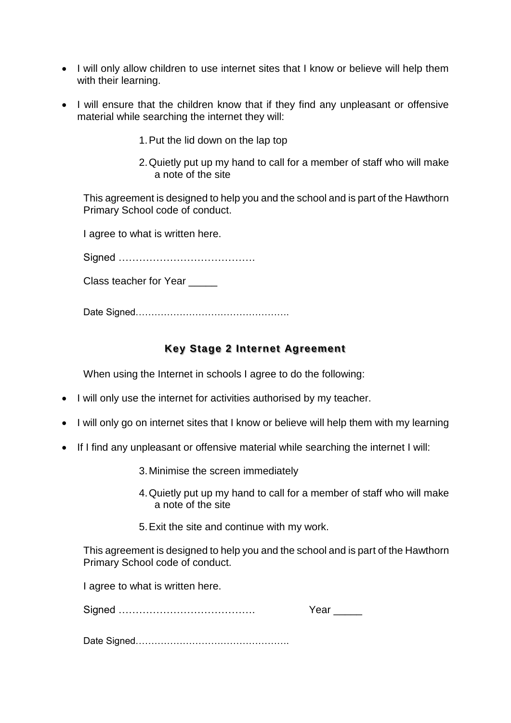- I will only allow children to use internet sites that I know or believe will help them with their learning.
- I will ensure that the children know that if they find any unpleasant or offensive material while searching the internet they will:
	- 1.Put the lid down on the lap top
	- 2.Quietly put up my hand to call for a member of staff who will make a note of the site

This agreement is designed to help you and the school and is part of the Hawthorn Primary School code of conduct.

I agree to what is written here.

Signed ………………………………….

Class teacher for Year

Date Signed………………………………………….

# **Key Stage 2 Internet Agreement**

When using the Internet in schools I agree to do the following:

- I will only use the internet for activities authorised by my teacher.
- I will only go on internet sites that I know or believe will help them with my learning
- If I find any unpleasant or offensive material while searching the internet I will:
	- 3.Minimise the screen immediately
	- 4.Quietly put up my hand to call for a member of staff who will make a note of the site
	- 5.Exit the site and continue with my work.

This agreement is designed to help you and the school and is part of the Hawthorn Primary School code of conduct.

I agree to what is written here.

Signed …………………………………. Year \_\_\_\_\_

Date Signed………………………………………….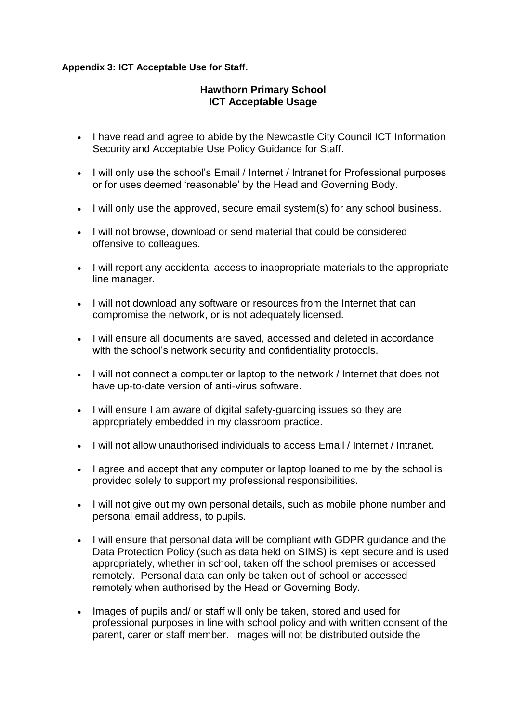# **Appendix 3: ICT Acceptable Use for Staff.**

# **Hawthorn Primary School ICT Acceptable Usage**

- I have read and agree to abide by the Newcastle City Council ICT Information Security and Acceptable Use Policy Guidance for Staff.
- I will only use the school's Email / Internet / Intranet for Professional purposes or for uses deemed 'reasonable' by the Head and Governing Body.
- I will only use the approved, secure email system(s) for any school business.
- I will not browse, download or send material that could be considered offensive to colleagues.
- I will report any accidental access to inappropriate materials to the appropriate line manager.
- I will not download any software or resources from the Internet that can compromise the network, or is not adequately licensed.
- I will ensure all documents are saved, accessed and deleted in accordance with the school's network security and confidentiality protocols.
- I will not connect a computer or laptop to the network / Internet that does not have up-to-date version of anti-virus software.
- I will ensure I am aware of digital safety-quarding issues so they are appropriately embedded in my classroom practice.
- I will not allow unauthorised individuals to access Email / Internet / Intranet.
- I agree and accept that any computer or laptop loaned to me by the school is provided solely to support my professional responsibilities.
- I will not give out my own personal details, such as mobile phone number and personal email address, to pupils.
- I will ensure that personal data will be compliant with GDPR guidance and the Data Protection Policy (such as data held on SIMS) is kept secure and is used appropriately, whether in school, taken off the school premises or accessed remotely. Personal data can only be taken out of school or accessed remotely when authorised by the Head or Governing Body.
- Images of pupils and/ or staff will only be taken, stored and used for professional purposes in line with school policy and with written consent of the parent, carer or staff member. Images will not be distributed outside the